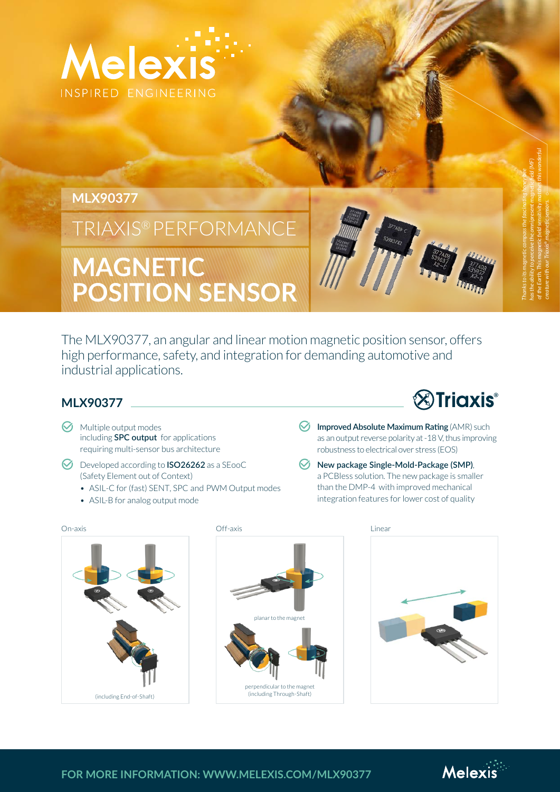

## **MLX90377**

# TRIAXIS® PERFORMANCE

# **MAGNETIC POSITION SENSOR**

The MLX90377, an angular and linear motion magnetic position sensor, offers high performance, safety, and integration for demanding automotive and industrial applications.

#### **MLX90377**

- $\odot$  Multiple output modes including **SPC output** for applications requiring multi-sensor bus architecture
- **K** Developed according to **ISO26262** as a SEooC (Safety Element out of Context)
	- ASIL-C for (fast) SENT, SPC and PWM Output modes
	- ASIL-B for analog output mode
- **<sup>2</sup>**Triaxis®
- **M** Improved Absolute Maximum Rating (AMR) such as an output reverse polarity at -18 V, thus improving robustness to electrical over stress (EOS)
- *<u>M</u>* New package Single-Mold-Package (SMP), a PCBless solution. The new package is smaller than the DMP-4 with improved mechanical integration features for lower cost of quality